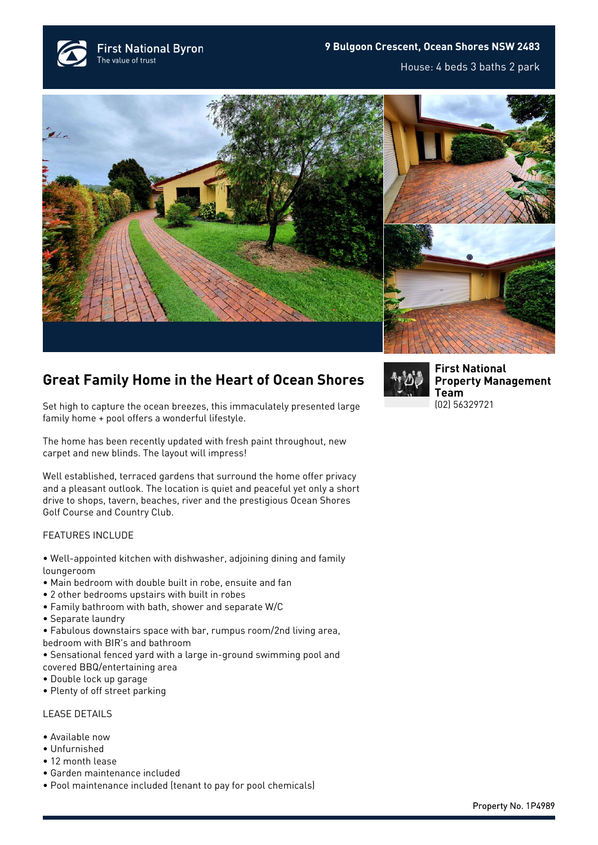



## **Great Family Home in the Heart of Ocean Shores**

Set high to capture the ocean breezes, this immaculately presented large family home + pool offers a wonderful lifestyle.

The home has been recently updated with fresh paint throughout, new carpet and new blinds. The layout will impress!

Well established, terraced gardens that surround the home offer privacy and a pleasant outlook. The location is quiet and peaceful yet only a short drive to shops, tavern, beaches, river and the prestigious Ocean Shores Golf Course and Country Club.

## FEATURES INCLUDE

- Well-appointed kitchen with dishwasher, adjoining dining and family loungeroom
- Main bedroom with double built in robe, ensuite and fan
- 2 other bedrooms upstairs with built in robes
- Family bathroom with bath, shower and separate W/C
- Separate laundry

• Fabulous downstairs space with bar, rumpus room/2nd living area, bedroom with BIR's and bathroom

• Sensational fenced yard with a large in-ground swimming pool and covered BBQ/entertaining area

- Double lock up garage
- Plenty of off street parking

## LEASE DETAILS

- Available now
- Unfurnished
- 12 month lease
- Garden maintenance included
- Pool maintenance included (tenant to pay for pool chemicals)



**[First National](https://www.byronbayfn.com.au/agents/first-national-property-management-team/) [Property Management](https://www.byronbayfn.com.au/agents/first-national-property-management-team/) [Team](https://www.byronbayfn.com.au/agents/first-national-property-management-team/)** [\(02\) 56329721](#page--1-0)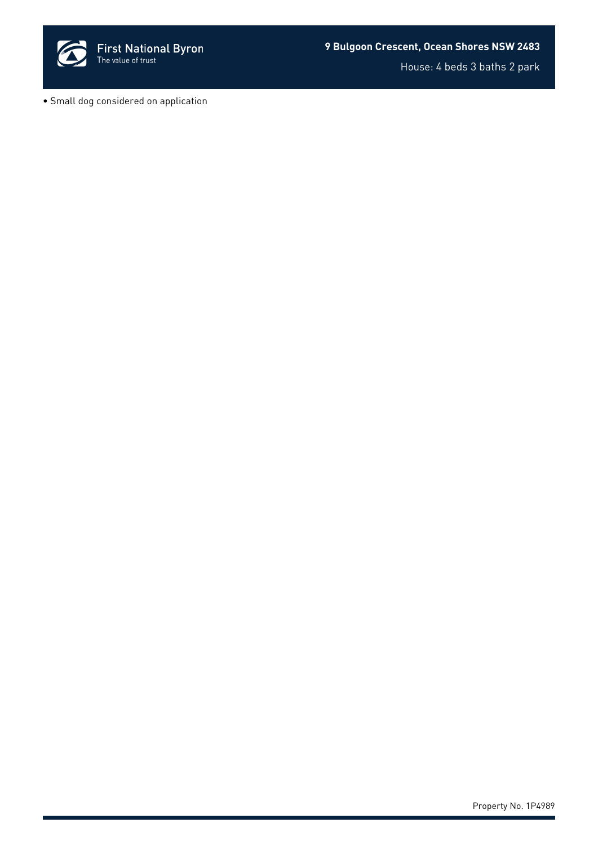

• Small dog considered on application